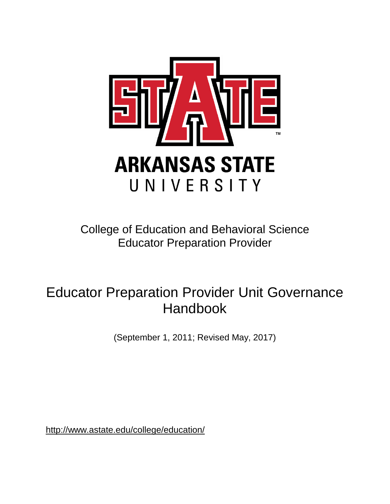

College of Education and Behavioral Science Educator Preparation Provider

# Educator Preparation Provider Unit Governance Handbook

(September 1, 2011; Revised May, 2017)

<http://www.astate.edu/college/education/>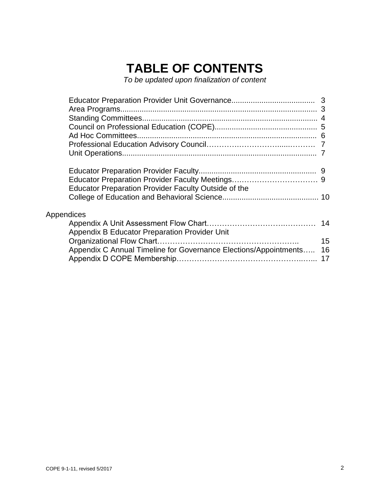# **TABLE OF CONTENTS**

*To be updated upon finalization of content*

|            | Educator Preparation Provider Faculty Outside of the             |    |
|------------|------------------------------------------------------------------|----|
|            |                                                                  |    |
|            |                                                                  |    |
| Appendices |                                                                  |    |
|            |                                                                  |    |
|            | Appendix B Educator Preparation Provider Unit                    |    |
|            |                                                                  | 15 |
|            | Appendix C Annual Timeline for Governance Elections/Appointments | 16 |
|            |                                                                  |    |
|            |                                                                  |    |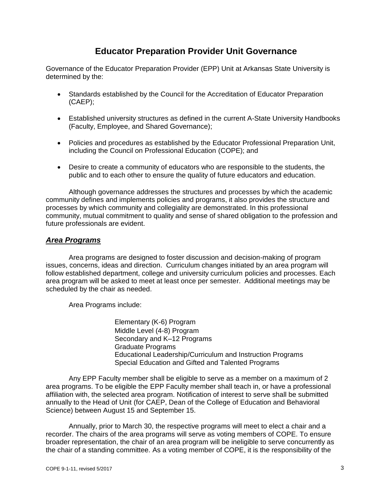# **Educator Preparation Provider Unit Governance**

Governance of the Educator Preparation Provider (EPP) Unit at Arkansas State University is determined by the:

- Standards established by the Council for the Accreditation of Educator Preparation (CAEP);
- Established university structures as defined in the current A-State University Handbooks (Faculty, Employee, and Shared Governance);
- Policies and procedures as established by the Educator Professional Preparation Unit, including the Council on Professional Education (COPE); and
- Desire to create a community of educators who are responsible to the students, the public and to each other to ensure the quality of future educators and education.

Although governance addresses the structures and processes by which the academic community defines and implements policies and programs, it also provides the structure and processes by which community and collegiality are demonstrated. In this professional community, mutual commitment to quality and sense of shared obligation to the profession and future professionals are evident.

### *Area Programs*

Area programs are designed to foster discussion and decision-making of program issues, concerns, ideas and direction. Curriculum changes initiated by an area program will follow established department, college and university curriculum policies and processes. Each area program will be asked to meet at least once per semester. Additional meetings may be scheduled by the chair as needed.

Area Programs include:

Elementary (K-6) Program Middle Level (4-8) Program Secondary and K–12 Programs Graduate Programs Educational Leadership/Curriculum and Instruction Programs Special Education and Gifted and Talented Programs

Any EPP Faculty member shall be eligible to serve as a member on a maximum of 2 area programs. To be eligible the EPP Faculty member shall teach in, or have a professional affiliation with, the selected area program. Notification of interest to serve shall be submitted annually to the Head of Unit (for CAEP, Dean of the College of Education and Behavioral Science) between August 15 and September 15.

Annually, prior to March 30, the respective programs will meet to elect a chair and a recorder. The chairs of the area programs will serve as voting members of COPE. To ensure broader representation, the chair of an area program will be ineligible to serve concurrently as the chair of a standing committee. As a voting member of COPE, it is the responsibility of the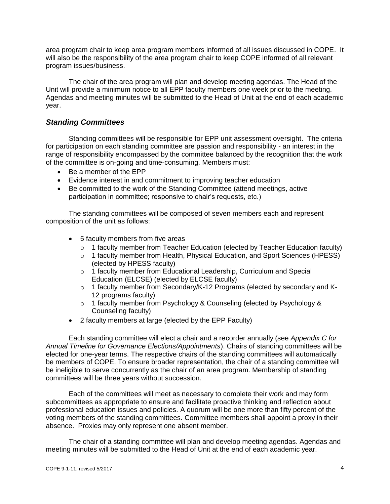area program chair to keep area program members informed of all issues discussed in COPE. It will also be the responsibility of the area program chair to keep COPE informed of all relevant program issues/business.

The chair of the area program will plan and develop meeting agendas. The Head of the Unit will provide a minimum notice to all EPP faculty members one week prior to the meeting. Agendas and meeting minutes will be submitted to the Head of Unit at the end of each academic year.

### *Standing Committees*

Standing committees will be responsible for EPP unit assessment oversight. The criteria for participation on each standing committee are passion and responsibility - an interest in the range of responsibility encompassed by the committee balanced by the recognition that the work of the committee is on-going and time-consuming. Members must:

- Be a member of the EPP
- Evidence interest in and commitment to improving teacher education
- Be committed to the work of the Standing Committee (attend meetings, active participation in committee; responsive to chair's requests, etc.)

The standing committees will be composed of seven members each and represent composition of the unit as follows:

- 5 faculty members from five areas
	- $\circ$  1 faculty member from Teacher Education (elected by Teacher Education faculty)
	- o 1 faculty member from Health, Physical Education, and Sport Sciences (HPESS) (elected by HPESS faculty)
	- o 1 faculty member from Educational Leadership, Curriculum and Special Education (ELCSE) (elected by ELCSE faculty)
	- o 1 faculty member from Secondary/K-12 Programs (elected by secondary and K-12 programs faculty)
	- o 1 faculty member from Psychology & Counseling (elected by Psychology & Counseling faculty)
- 2 faculty members at large (elected by the EPP Faculty)

Each standing committee will elect a chair and a recorder annually (see *Appendix C for Annual Timeline for Governance Elections/Appointments*). Chairs of standing committees will be elected for one-year terms. The respective chairs of the standing committees will automatically be members of COPE. To ensure broader representation, the chair of a standing committee will be ineligible to serve concurrently as the chair of an area program. Membership of standing committees will be three years without succession.

Each of the committees will meet as necessary to complete their work and may form subcommittees as appropriate to ensure and facilitate proactive thinking and reflection about professional education issues and policies. A quorum will be one more than fifty percent of the voting members of the standing committees. Committee members shall appoint a proxy in their absence. Proxies may only represent one absent member.

The chair of a standing committee will plan and develop meeting agendas. Agendas and meeting minutes will be submitted to the Head of Unit at the end of each academic year.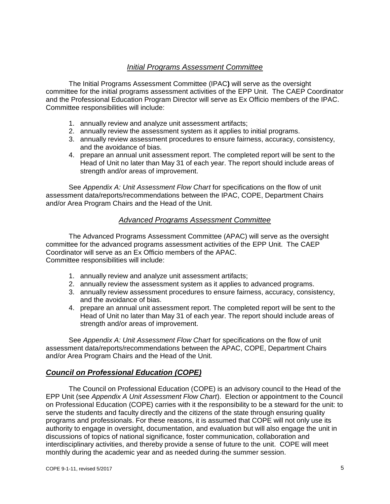### *Initial Programs Assessment Committee*

The Initial Programs Assessment Committee (IPAC**)** will serve as the oversight committee for the initial programs assessment activities of the EPP Unit. The CAEP Coordinator and the Professional Education Program Director will serve as Ex Officio members of the IPAC. Committee responsibilities will include:

- 1. annually review and analyze unit assessment artifacts;
- 2. annually review the assessment system as it applies to initial programs.
- 3. annually review assessment procedures to ensure fairness, accuracy, consistency, and the avoidance of bias.
- 4. prepare an annual unit assessment report. The completed report will be sent to the Head of Unit no later than May 31 of each year. The report should include areas of strength and/or areas of improvement.

See *Appendix A: Unit Assessment Flow Chart* for specifications on the flow of unit assessment data/reports/recommendations between the IPAC, COPE, Department Chairs and/or Area Program Chairs and the Head of the Unit.

### *Advanced Programs Assessment Committee*

The Advanced Programs Assessment Committee (APAC) will serve as the oversight committee for the advanced programs assessment activities of the EPP Unit. The CAEP Coordinator will serve as an Ex Officio members of the APAC. Committee responsibilities will include:

- 1. annually review and analyze unit assessment artifacts;
- 2. annually review the assessment system as it applies to advanced programs.
- 3. annually review assessment procedures to ensure fairness, accuracy, consistency, and the avoidance of bias.
- 4. prepare an annual unit assessment report. The completed report will be sent to the Head of Unit no later than May 31 of each year. The report should include areas of strength and/or areas of improvement.

See *Appendix A: Unit Assessment Flow Chart* for specifications on the flow of unit assessment data/reports/recommendations between the APAC, COPE, Department Chairs and/or Area Program Chairs and the Head of the Unit.

### *Council on Professional Education (COPE)*

The Council on Professional Education (COPE) is an advisory council to the Head of the EPP Unit (see *Appendix A Unit Assessment Flow Chart*). Election or appointment to the Council on Professional Education (COPE) carries with it the responsibility to be a steward for the unit: to serve the students and faculty directly and the citizens of the state through ensuring quality programs and professionals. For these reasons, it is assumed that COPE will not only use its authority to engage in oversight, documentation, and evaluation but will also engage the unit in discussions of topics of national significance, foster communication, collaboration and interdisciplinary activities, and thereby provide a sense of future to the unit. COPE will meet monthly during the academic year and as needed during the summer session.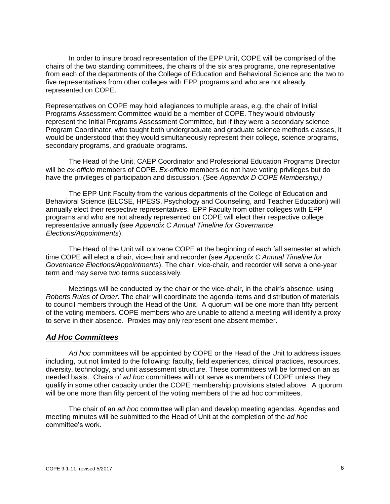In order to insure broad representation of the EPP Unit, COPE will be comprised of the chairs of the two standing committees, the chairs of the six area programs, one representative from each of the departments of the College of Education and Behavioral Science and the two to five representatives from other colleges with EPP programs and who are not already represented on COPE.

Representatives on COPE may hold allegiances to multiple areas, e.g. the chair of Initial Programs Assessment Committee would be a member of COPE. They would obviously represent the Initial Programs Assessment Committee, but if they were a secondary science Program Coordinator, who taught both undergraduate and graduate science methods classes, it would be understood that they would simultaneously represent their college, science programs, secondary programs, and graduate programs.

The Head of the Unit, CAEP Coordinator and Professional Education Programs Director will be *ex-officio* members of COPE**.** *Ex-officio* members do not have voting privileges but do have the privileges of participation and discussion. (See *Appendix D COPE Membership.)*

The EPP Unit Faculty from the various departments of the College of Education and Behavioral Science (ELCSE, HPESS, Psychology and Counseling, and Teacher Education) will annually elect their respective representatives. EPP Faculty from other colleges with EPP programs and who are not already represented on COPE will elect their respective college representative annually (see *Appendix C Annual Timeline for Governance Elections/Appointments*).

The Head of the Unit will convene COPE at the beginning of each fall semester at which time COPE will elect a chair, vice-chair and recorder (see *Appendix C Annual Timeline for Governance Elections/Appointments*). The chair, vice-chair, and recorder will serve a one-year term and may serve two terms successively.

Meetings will be conducted by the chair or the vice-chair, in the chair's absence, using *Roberts Rules of Order*. The chair will coordinate the agenda items and distribution of materials to council members through the Head of the Unit. A quorum will be one more than fifty percent of the voting members. COPE members who are unable to attend a meeting will identify a proxy to serve in their absence. Proxies may only represent one absent member.

### *Ad Hoc Committees*

*Ad hoc* committees will be appointed by COPE or the Head of the Unit to address issues including, but not limited to the following: faculty, field experiences, clinical practices, resources, diversity, technology, and unit assessment structure. These committees will be formed on an as needed basis. Chairs of *ad hoc* committees will not serve as members of COPE unless they qualify in some other capacity under the COPE membership provisions stated above. A quorum will be one more than fifty percent of the voting members of the ad hoc committees.

The chair of an *ad hoc* committee will plan and develop meeting agendas. Agendas and meeting minutes will be submitted to the Head of Unit at the completion of the *ad hoc* committee's work.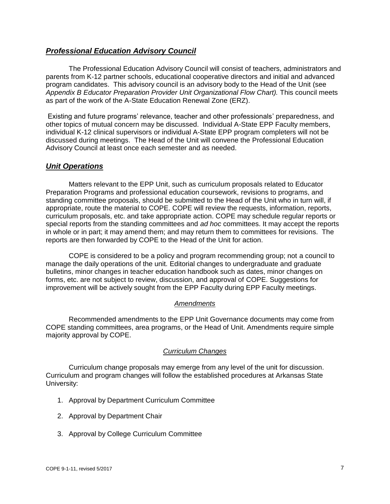### *Professional Education Advisory Council*

The Professional Education Advisory Council will consist of teachers, administrators and parents from K-12 partner schools, educational cooperative directors and initial and advanced program candidates. This advisory council is an advisory body to the Head of the Unit (see *Appendix B Educator Preparation Provider Unit Organizational Flow Chart).* This council meets as part of the work of the A-State Education Renewal Zone (ERZ).

Existing and future programs' relevance, teacher and other professionals' preparedness, and other topics of mutual concern may be discussed. Individual A-State EPP Faculty members, individual K-12 clinical supervisors or individual A-State EPP program completers will not be discussed during meetings. The Head of the Unit will convene the Professional Education Advisory Council at least once each semester and as needed.

### *Unit Operations*

Matters relevant to the EPP Unit, such as curriculum proposals related to Educator Preparation Programs and professional education coursework, revisions to programs, and standing committee proposals, should be submitted to the Head of the Unit who in turn will, if appropriate, route the material to COPE. COPE will review the requests, information, reports, curriculum proposals, etc. and take appropriate action. COPE may schedule regular reports or special reports from the standing committees and *ad hoc* committees. It may accept the reports in whole or in part; it may amend them; and may return them to committees for revisions. The reports are then forwarded by COPE to the Head of the Unit for action.

COPE is considered to be a policy and program recommending group; not a council to manage the daily operations of the unit. Editorial changes to undergraduate and graduate bulletins, minor changes in teacher education handbook such as dates, minor changes on forms, etc. are not subject to review, discussion, and approval of COPE. Suggestions for improvement will be actively sought from the EPP Faculty during EPP Faculty meetings.

#### *Amendments*

Recommended amendments to the EPP Unit Governance documents may come from COPE standing committees, area programs, or the Head of Unit. Amendments require simple majority approval by COPE.

### *Curriculum Changes*

Curriculum change proposals may emerge from any level of the unit for discussion. Curriculum and program changes will follow the established procedures at Arkansas State University:

- 1. Approval by Department Curriculum Committee
- 2. Approval by Department Chair
- 3. Approval by College Curriculum Committee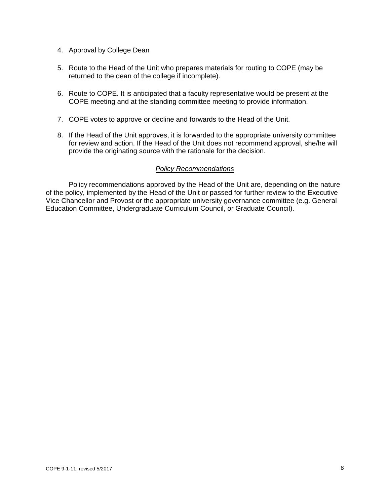- 4. Approval by College Dean
- 5. Route to the Head of the Unit who prepares materials for routing to COPE (may be returned to the dean of the college if incomplete).
- 6. Route to COPE. It is anticipated that a faculty representative would be present at the COPE meeting and at the standing committee meeting to provide information.
- 7. COPE votes to approve or decline and forwards to the Head of the Unit.
- 8. If the Head of the Unit approves, it is forwarded to the appropriate university committee for review and action. If the Head of the Unit does not recommend approval, she/he will provide the originating source with the rationale for the decision.

#### *Policy Recommendations*

Policy recommendations approved by the Head of the Unit are, depending on the nature of the policy, implemented by the Head of the Unit or passed for further review to the Executive Vice Chancellor and Provost or the appropriate university governance committee (e.g. General Education Committee, Undergraduate Curriculum Council, or Graduate Council).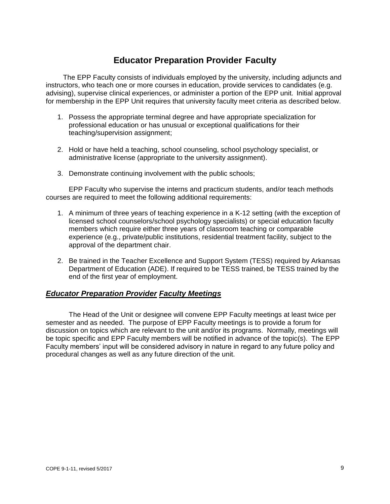# **Educator Preparation Provider Faculty**

The EPP Faculty consists of individuals employed by the university, including adjuncts and instructors, who teach one or more courses in education, provide services to candidates (e.g. advising), supervise clinical experiences, or administer a portion of the EPP unit. Initial approval for membership in the EPP Unit requires that university faculty meet criteria as described below.

- 1. Possess the appropriate terminal degree and have appropriate specialization for professional education or has unusual or exceptional qualifications for their teaching/supervision assignment;
- 2. Hold or have held a teaching, school counseling, school psychology specialist, or administrative license (appropriate to the university assignment).
- 3. Demonstrate continuing involvement with the public schools;

EPP Faculty who supervise the interns and practicum students, and/or teach methods courses are required to meet the following additional requirements:

- 1. A minimum of three years of teaching experience in a K-12 setting (with the exception of licensed school counselors/school psychology specialists) or special education faculty members which require either three years of classroom teaching or comparable experience (e.g., private/public institutions, residential treatment facility, subject to the approval of the department chair.
- 2. Be trained in the Teacher Excellence and Support System (TESS) required by Arkansas Department of Education (ADE). If required to be TESS trained, be TESS trained by the end of the first year of employment.

### *Educator Preparation Provider Faculty Meetings*

The Head of the Unit or designee will convene EPP Faculty meetings at least twice per semester and as needed. The purpose of EPP Faculty meetings is to provide a forum for discussion on topics which are relevant to the unit and/or its programs. Normally, meetings will be topic specific and EPP Faculty members will be notified in advance of the topic(s). The EPP Faculty members' input will be considered advisory in nature in regard to any future policy and procedural changes as well as any future direction of the unit.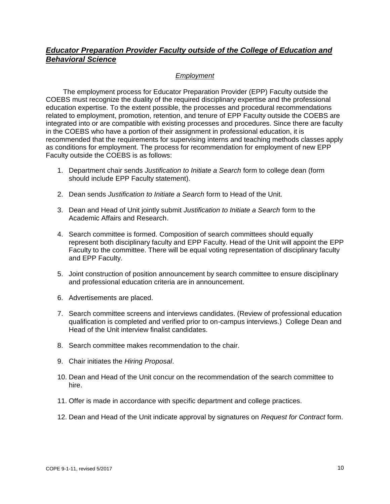### *Educator Preparation Provider Faculty outside of the College of Education and Behavioral Science*

### *Employment*

The employment process for Educator Preparation Provider (EPP) Faculty outside the COEBS must recognize the duality of the required disciplinary expertise and the professional education expertise. To the extent possible, the processes and procedural recommendations related to employment, promotion, retention, and tenure of EPP Faculty outside the COEBS are integrated into or are compatible with existing processes and procedures. Since there are faculty in the COEBS who have a portion of their assignment in professional education, it is recommended that the requirements for supervising interns and teaching methods classes apply as conditions for employment. The process for recommendation for employment of new EPP Faculty outside the COEBS is as follows:

- 1. Department chair sends *Justification to Initiate a Search* form to college dean (form should include EPP Faculty statement).
- 2. Dean sends *Justification to Initiate a Search* form to Head of the Unit.
- 3. Dean and Head of Unit jointly submit *Justification to Initiate a Search* form to the Academic Affairs and Research.
- 4. Search committee is formed. Composition of search committees should equally represent both disciplinary faculty and EPP Faculty. Head of the Unit will appoint the EPP Faculty to the committee. There will be equal voting representation of disciplinary faculty and EPP Faculty.
- 5. Joint construction of position announcement by search committee to ensure disciplinary and professional education criteria are in announcement.
- 6. Advertisements are placed.
- 7. Search committee screens and interviews candidates. (Review of professional education qualification is completed and verified prior to on-campus interviews.) College Dean and Head of the Unit interview finalist candidates.
- 8. Search committee makes recommendation to the chair.
- 9. Chair initiates the *Hiring Proposal*.
- 10. Dean and Head of the Unit concur on the recommendation of the search committee to hire.
- 11. Offer is made in accordance with specific department and college practices.
- 12. Dean and Head of the Unit indicate approval by signatures on *Request for Contract* form.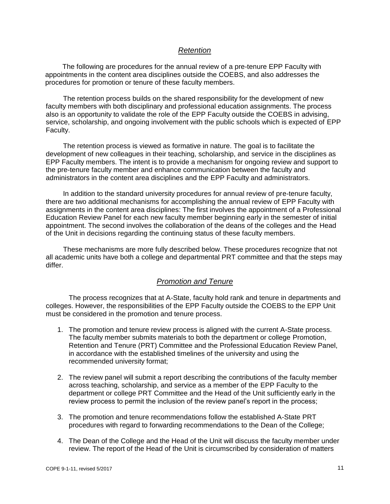### *Retention*

The following are procedures for the annual review of a pre-tenure EPP Faculty with appointments in the content area disciplines outside the COEBS, and also addresses the procedures for promotion or tenure of these faculty members.

The retention process builds on the shared responsibility for the development of new faculty members with both disciplinary and professional education assignments. The process also is an opportunity to validate the role of the EPP Faculty outside the COEBS in advising, service, scholarship, and ongoing involvement with the public schools which is expected of EPP Faculty.

The retention process is viewed as formative in nature. The goal is to facilitate the development of new colleagues in their teaching, scholarship, and service in the disciplines as EPP Faculty members. The intent is to provide a mechanism for ongoing review and support to the pre-tenure faculty member and enhance communication between the faculty and administrators in the content area disciplines and the EPP Faculty and administrators.

In addition to the standard university procedures for annual review of pre-tenure faculty, there are two additional mechanisms for accomplishing the annual review of EPP Faculty with assignments in the content area disciplines: The first involves the appointment of a Professional Education Review Panel for each new faculty member beginning early in the semester of initial appointment. The second involves the collaboration of the deans of the colleges and the Head of the Unit in decisions regarding the continuing status of these faculty members.

These mechanisms are more fully described below. These procedures recognize that not all academic units have both a college and departmental PRT committee and that the steps may differ.

### *Promotion and Tenure*

The process recognizes that at A-State, faculty hold rank and tenure in departments and colleges. However, the responsibilities of the EPP Faculty outside the COEBS to the EPP Unit must be considered in the promotion and tenure process.

- 1. The promotion and tenure review process is aligned with the current A-State process. The faculty member submits materials to both the department or college Promotion, Retention and Tenure (PRT) Committee and the Professional Education Review Panel, in accordance with the established timelines of the university and using the recommended university format;
- 2. The review panel will submit a report describing the contributions of the faculty member across teaching, scholarship, and service as a member of the EPP Faculty to the department or college PRT Committee and the Head of the Unit sufficiently early in the review process to permit the inclusion of the review panel's report in the process;
- 3. The promotion and tenure recommendations follow the established A-State PRT procedures with regard to forwarding recommendations to the Dean of the College;
- 4. The Dean of the College and the Head of the Unit will discuss the faculty member under review. The report of the Head of the Unit is circumscribed by consideration of matters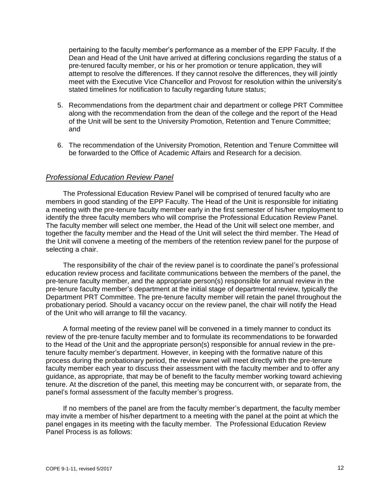pertaining to the faculty member's performance as a member of the EPP Faculty. If the Dean and Head of the Unit have arrived at differing conclusions regarding the status of a pre-tenured faculty member, or his or her promotion or tenure application, they will attempt to resolve the differences. If they cannot resolve the differences, they will jointly meet with the Executive Vice Chancellor and Provost for resolution within the university's stated timelines for notification to faculty regarding future status;

- 5. Recommendations from the department chair and department or college PRT Committee along with the recommendation from the dean of the college and the report of the Head of the Unit will be sent to the University Promotion, Retention and Tenure Committee; and
- 6. The recommendation of the University Promotion, Retention and Tenure Committee will be forwarded to the Office of Academic Affairs and Research for a decision.

### *Professional Education Review Panel*

The Professional Education Review Panel will be comprised of tenured faculty who are members in good standing of the EPP Faculty. The Head of the Unit is responsible for initiating a meeting with the pre-tenure faculty member early in the first semester of his/her employment to identify the three faculty members who will comprise the Professional Education Review Panel. The faculty member will select one member, the Head of the Unit will select one member, and together the faculty member and the Head of the Unit will select the third member. The Head of the Unit will convene a meeting of the members of the retention review panel for the purpose of selecting a chair.

The responsibility of the chair of the review panel is to coordinate the panel's professional education review process and facilitate communications between the members of the panel, the pre-tenure faculty member, and the appropriate person(s) responsible for annual review in the pre-tenure faculty member's department at the initial stage of departmental review, typically the Department PRT Committee. The pre-tenure faculty member will retain the panel throughout the probationary period. Should a vacancy occur on the review panel, the chair will notify the Head of the Unit who will arrange to fill the vacancy.

A formal meeting of the review panel will be convened in a timely manner to conduct its review of the pre-tenure faculty member and to formulate its recommendations to be forwarded to the Head of the Unit and the appropriate person(s) responsible for annual review in the pretenure faculty member's department. However, in keeping with the formative nature of this process during the probationary period, the review panel will meet directly with the pre-tenure faculty member each year to discuss their assessment with the faculty member and to offer any guidance, as appropriate, that may be of benefit to the faculty member working toward achieving tenure. At the discretion of the panel, this meeting may be concurrent with, or separate from, the panel's formal assessment of the faculty member's progress.

If no members of the panel are from the faculty member's department, the faculty member may invite a member of his/her department to a meeting with the panel at the point at which the panel engages in its meeting with the faculty member. The Professional Education Review Panel Process is as follows: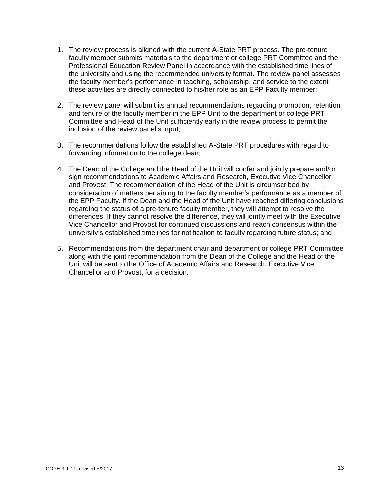- 1. The review process is aligned with the current A-State PRT process. The pre-tenure faculty member submits materials to the department or college PRT Committee and the Professional Education Review Panel in accordance with the established time lines of the university and using the recommended university format. The review panel assesses the faculty member's performance in teaching, scholarship, and service to the extent these activities are directly connected to his/her role as an EPP Faculty member;
- 2. The review panel will submit its annual recommendations regarding promotion, retention and tenure of the faculty member in the EPP Unit to the department or college PRT Committee and Head of the Unit sufficiently early in the review process to permit the inclusion of the review panel's input;
- 3. The recommendations follow the established A-State PRT procedures with regard to forwarding information to the college dean;
- 4. The Dean of the College and the Head of the Unit will confer and jointly prepare and/or sign recommendations to Academic Affairs and Research, Executive Vice Chancellor and Provost. The recommendation of the Head of the Unit is circumscribed by consideration of matters pertaining to the faculty member's performance as a member of the EPP Faculty. If the Dean and the Head of the Unit have reached differing conclusions regarding the status of a pre-tenure faculty member, they will attempt to resolve the differences. If they cannot resolve the difference, they will jointly meet with the Executive Vice Chancellor and Provost for continued discussions and reach consensus within the university's established timelines for notification to faculty regarding future status; and
- 5. Recommendations from the department chair and department or college PRT Committee along with the joint recommendation from the Dean of the College and the Head of the Unit will be sent to the Office of Academic Affairs and Research, Executive Vice Chancellor and Provost, for a decision.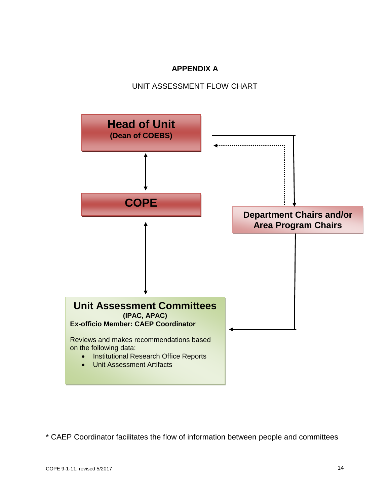# **APPENDIX A**

## UNIT ASSESSMENT FLOW CHART



\* CAEP Coordinator facilitates the flow of information between people and committees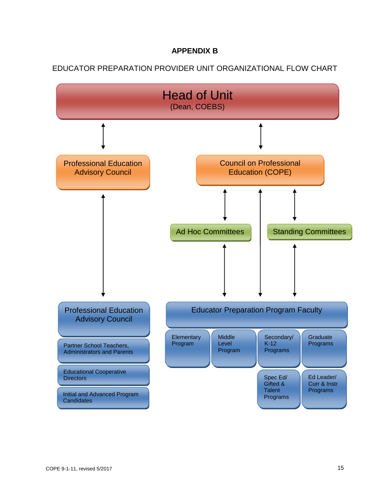## **APPENDIX B**

# EDUCATOR PREPARATION PROVIDER UNIT ORGANIZATIONAL FLOW CHART

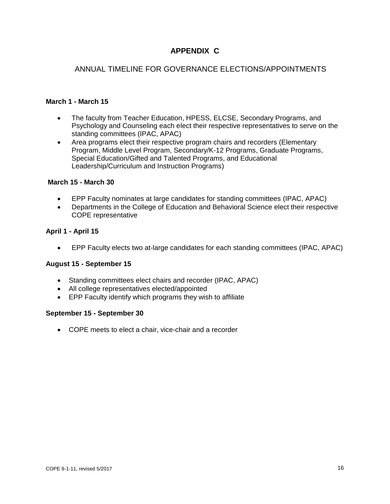# **APPENDIX C**

### ANNUAL TIMELINE FOR GOVERNANCE ELECTIONS/APPOINTMENTS

### **March 1 - March 15**

- The faculty from Teacher Education, HPESS, ELCSE, Secondary Programs, and Psychology and Counseling each elect their respective representatives to serve on the standing committees (IPAC, APAC)
- Area programs elect their respective program chairs and recorders (Elementary Program, Middle Level Program, Secondary/K-12 Programs, Graduate Programs, Special Education/Gifted and Talented Programs, and Educational Leadership/Curriculum and Instruction Programs)

### **March 15 - March 30**

- EPP Faculty nominates at large candidates for standing committees (IPAC, APAC)
- Departments in the College of Education and Behavioral Science elect their respective COPE representative

### **April 1 - April 15**

EPP Faculty elects two at-large candidates for each standing committees (IPAC, APAC)

### **August 15 - September 15**

- Standing committees elect chairs and recorder (IPAC, APAC)
- All college representatives elected/appointed
- EPP Faculty identify which programs they wish to affiliate

### **September 15 - September 30**

COPE meets to elect a chair, vice-chair and a recorder